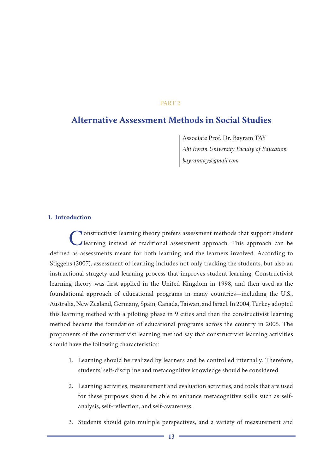## PART 2

# **Alternative Assessment Methods in Social Studies**

Associate Prof. Dr. Bayram TAY *Ahi Evran University Faculty of Education bayramtay@gmail.com*

#### **1. Introduction**

Constructivist learning theory prefers assessment methods that support student learning instead of traditional assessment approach. This approach can be defined as assessments meant for both learning and the learners involved. According to Stiggens (2007), assessment of learning includes not only tracking the students, but also an instructional stragety and learning process that improves student learning. Constructivist learning theory was first applied in the United Kingdom in 1998, and then used as the foundational approach of educational programs in many countries—including the U.S., Australia, New Zealand, Germany, Spain, Canada, Taiwan, and Israel. In 2004, Turkey adopted this learning method with a piloting phase in 9 cities and then the constructivist learning method became the foundation of educational programs across the country in 2005. The proponents of the constructivist learning method say that constructivist learning activities should have the following characteristics:

- 1. Learning should be realized by learners and be controlled internally. Therefore, students' self-discipline and metacognitive knowledge should be considered.
- 2. Learning activities, measurement and evaluation activities, and tools that are used for these purposes should be able to enhance metacognitive skills such as selfanalysis, self-reflection, and self-awareness.
- 3. Students should gain multiple perspectives, and a variety of measurement and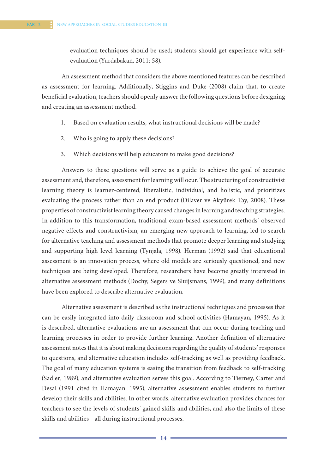evaluation techniques should be used; students should get experience with selfevaluation (Yurdabakan, 2011: 58).

An assessment method that considers the above mentioned features can be described as assessment for learning. Additionally, Stiggins and Duke (2008) claim that, to create beneficial evaluation, teachers should openly answer the following questions before designing and creating an assessment method.

- 1. Based on evaluation results, what instructional decisions will be made?
- 2. Who is going to apply these decisions?
- 3. Which decisions will help educators to make good decisions?

Answers to these questions will serve as a guide to achieve the goal of accurate assessment and, therefore, assessment for learning will ocur. The structuring of constructivist learning theory is learner-centered, liberalistic, individual, and holistic, and prioritizes evaluating the process rather than an end product (Dilaver ve Akyürek Tay, 2008). These properties of constructivist learning theory caused changes in learning and teaching strategies. In addition to this transformation, traditional exam-based assessment methods' observed negative effects and constructivism, an emerging new approach to learning, led to search for alternative teaching and assessment methods that promote deeper learning and studying and supporting high level learning (Tynjala, 1998). Herman (1992) said that educational assessment is an innovation process, where old models are seriously questioned, and new techniques are being developed. Therefore, researchers have become greatly interested in alternative assessment methods (Dochy, Segers ve Sluijsmans, 1999), and many definitions have been explored to describe alternative evaluation.

Alternative assessment is described as the instructional techniques and processes that can be easily integrated into daily classroom and school activities (Hamayan, 1995). As it is described, alternative evaluations are an assessment that can occur during teaching and learning processes in order to provide further learning. Another definition of alternative assessment notes that it is about making decisions regarding the quality of students' responses to questions, and alternative education includes self-tracking as well as providing feedback. The goal of many education systems is easing the transition from feedback to self-tracking (Sadler, 1989), and alternative evaluation serves this goal. According to Tierney, Carter and Desai (1991 cited in Hamayan, 1995), alternative assessment enables students to further develop their skills and abilities. In other words, alternative evaluation provides chances for teachers to see the levels of students' gained skills and abilities, and also the limits of these skills and abilities—all during instructional processes.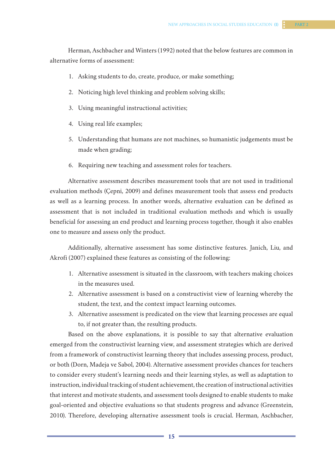Herman, Aschbacher and Winters (1992) noted that the below features are common in alternative forms of assessment:

- 1. Asking students to do, create, produce, or make something;
- 2. Noticing high level thinking and problem solving skills;
- 3. Using meaningful instructional activities;
- 4. Using real life examples;
- 5. Understanding that humans are not machines, so humanistic judgements must be made when grading;
- 6. Requiring new teaching and assessment roles for teachers.

Alternative assessment describes measurement tools that are not used in traditional evaluation methods (Çepni, 2009) and defines measurement tools that assess end products as well as a learning process. In another words, alternative evaluation can be defined as assessment that is not included in traditional evaluation methods and which is usually beneficial for assessing an end product and learning process together, though it also enables one to measure and assess only the product.

Additionally, alternative assessment has some distinctive features. Janich, Liu, and Akrofi (2007) explained these features as consisting of the following:

- 1. Alternative assessment is situated in the classroom, with teachers making choices in the measures used.
- 2. Alternative assessment is based on a constructivist view of learning whereby the student, the text, and the context impact learning outcomes.
- 3. Alternative assessment is predicated on the view that learning processes are equal to, if not greater than, the resulting products.

Based on the above explanations, it is possible to say that alternative evaluation emerged from the constructivist learning view, and assessment strategies which are derived from a framework of constructivist learning theory that includes assessing process, product, or both (Dorn, Madeja ve Sabol, 2004). Alternative assessment provides chances for teachers to consider every student's learning needs and their learning styles, as well as adaptation to instruction, individual tracking of student achievement, the creation of instructional activities that interest and motivate students, and assessment tools designed to enable students to make goal-oriented and objective evaluations so that students progress and advance (Greenstein, 2010). Therefore, developing alternative assessment tools is crucial. Herman, Aschbacher,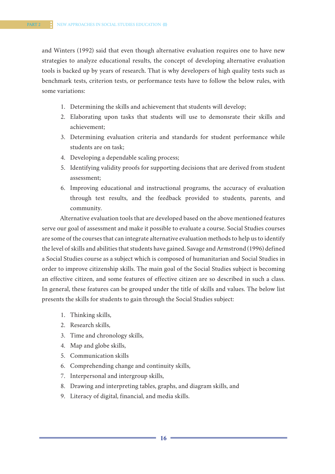and Winters (1992) said that even though alternative evaluation requires one to have new strategies to analyze educational results, the concept of developing alternative evaluation tools is backed up by years of research. That is why developers of high quality tests such as benchmark tests, criterion tests, or performance tests have to follow the below rules, with some variations:

- 1. Determining the skills and achievement that students will develop;
- 2. Elaborating upon tasks that students will use to demonsrate their skills and achievement;
- 3. Determining evaluation criteria and standards for student performance while students are on task;
- 4. Developing a dependable scaling process;
- 5. Identifying validity proofs for supporting decisions that are derived from student assessment;
- 6. Improving educational and instructional programs, the accuracy of evaluation through test results, and the feedback provided to students, parents, and community.

Alternative evaluation tools that are developed based on the above mentioned features serve our goal of assessment and make it possible to evaluate a course. Social Studies courses are some of the courses that can integrate alternative evaluation methods to help us to identify the level of skills and abilities that students have gained. Savage and Armstrond (1996) defined a Social Studies course as a subject which is composed of humanitarian and Social Studies in order to improve citizenship skills. The main goal of the Social Studies subject is becoming an effective citizen, and some features of effective citizen are so described in such a class. In general, these features can be grouped under the title of skills and values. The below list presents the skills for students to gain through the Social Studies subject:

- 1. Thinking skills,
- 2. Research skills,
- 3. Time and chronology skills,
- 4. Map and globe skills,
- 5. Communication skills
- 6. Comprehending change and continuity skills,
- 7. Interpersonal and intergroup skills,
- 8. Drawing and interpreting tables, graphs, and diagram skills, and
- 9. Literacy of digital, financial, and media skills.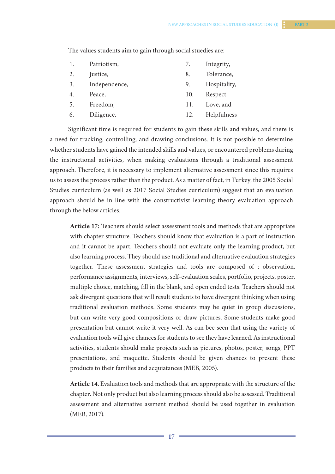| Patriotism, |  | 7. Integrity, |
|-------------|--|---------------|

The values students aim to gain through social stuedies are:

| 2. | Justice,      | 8.  | Tolerance,   |
|----|---------------|-----|--------------|
| 3. | Independence, | 9.  | Hospitality, |
| 4. | Peace,        | 10. | Respect,     |
| 5. | Freedom,      | 11. | Love, and    |
| 6. | Diligence,    | 12. | Helpfulness  |

Significant time is required for students to gain these skills and values, and there is a need for tracking, controlling, and drawing conclusions. It is not possible to determine whether students have gained the intended skills and values, or encountered problems during the instructional activities, when making evaluations through a traditional assessment approach. Therefore, it is necessary to implement alternative assessment since this requires us to assess the process rather than the product. As a matter of fact, in Turkey, the 2005 Social Studies curriculum (as well as 2017 Social Studies curriculum) suggest that an evaluation approach should be in line with the constructivist learning theory evaluation approach through the below articles.

**Article 17:** Teachers should select assessment tools and methods that are appropriate with chapter structure. Teachers should know that evaluation is a part of instruction and it cannot be apart. Teachers should not evaluate only the learning product, but also learning process. They should use traditional and alternative evaluation strategies together. These assessment strategies and tools are composed of ; observation, performance assignments, interviews, self-evaluation scales, portfolio, projects, poster, multiple choice, matching, fill in the blank, and open ended tests. Teachers should not ask divergent questions that will result students to have divergent thinking when using traditional evaluation methods. Some students may be quiet in group discussions, but can write very good compositions or draw pictures. Some students make good presentation but cannot write it very well. As can bee seen that using the variety of evaluation tools will give chances for students to see they have learned. As instructional activities, students should make projects such as pictures, photos, poster, songs, PPT presentations, and maquette. Students should be given chances to present these products to their families and acquiatances (MEB, 2005).

**Article 14.** Evaluation tools and methods that are appropriate with the structure of the chapter. Not only product but also learning process should also be assessed. Traditional assessment and alternative assment method should be used together in evaluation (MEB, 2017).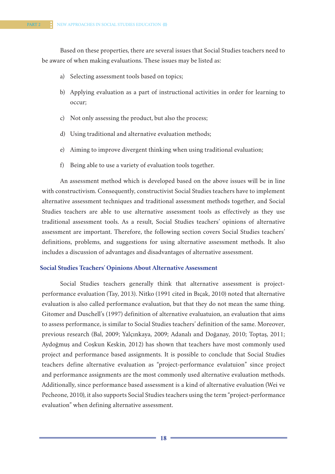Based on these properties, there are several issues that Social Studies teachers need to be aware of when making evaluations. These issues may be listed as:

- a) Selecting assessment tools based on topics;
- b) Applying evaluation as a part of instructional activities in order for learning to occur;
- c) Not only assessing the product, but also the process;
- d) Using traditional and alternative evaluation methods;
- e) Aiming to improve divergent thinking when using traditional evaluation;
- f) Being able to use a variety of evaluation tools together.

An assessment method which is developed based on the above issues will be in line with constructivism. Consequently, constructivist Social Studies teachers have to implement alternative assessment techniques and traditional assessment methods together, and Social Studies teachers are able to use alternative assessment tools as effectively as they use traditional assessment tools. As a result, Social Studies teachers' opinions of alternative assessment are important. Therefore, the following section covers Social Studies teachers' definitions, problems, and suggestions for using alternative assessment methods. It also includes a discussion of advantages and disadvantages of alternative assessment.

## **Social Studies Teachers' Opinions About Alternative Assessment**

Social Studies teachers generally think that alternative assessment is projectperformance evaluation (Tay, 2013). Nitko (1991 cited in Bıçak, 2010) noted that alternative evaluation is also called performance evaluation, but that they do not mean the same thing. Gitomer and Duschell's (1997) definition of alternative evaluatuion, an evaluation that aims to assess performance, is similar to Social Studies teachers' definition of the same. Moreover, previous research (Bal, 2009; Yalçınkaya, 2009; Adanalı and Doğanay, 2010; Toptaş, 2011; Aydoğmuş and Coşkun Keskin, 2012) has shown that teachers have most commonly used project and performance based assignments. It is possible to conclude that Social Studies teachers define alternative evaluation as "project-performance evalatuion" since project and performance assignments are the most commonly used alternative evaluation methods. Additionally, since performance based assessment is a kind of alternative evaluation (Wei ve Pecheone, 2010), it also supports Social Studies teachers using the term "project-performance evaluation" when defining alternative assessment.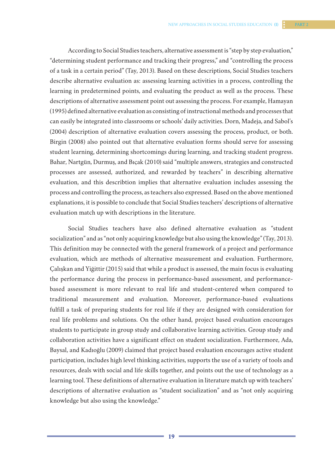According to Social Studies teachers, alternative assessment is "step by step evaluation," "determining student performance and tracking their progress," and "controlling the process of a task in a certain period" (Tay, 2013). Based on these descriptions, Social Studies teachers describe alternative evaluation as: assessing learning activities in a process, controlling the learning in predetermined points, and evaluating the product as well as the process. These descriptions of alternative assessment point out assessing the process. For example, Hamayan (1995) defined alternative evaluation as consisting of instructional methods and processes that can easily be integrated into classrooms or schools' daily activities. Dorn, Madeja, and Sabol's (2004) description of alternative evaluation covers assessing the process, product, or both. Birgin (2008) also pointed out that alternative evaluation forms should serve for assessing student learning, determining shortcomings during learning, and tracking student progress. Bahar, Nartgün, Durmuş, and Bıçak (2010) said "multiple answers, strategies and constructed processes are assessed, authorized, and rewarded by teachers" in describing alternative evaluation, and this describtion implies that alternative evaluation includes assessing the process and controlling the process, as teachers also expressed. Based on the above mentioned explanations, it is possible to conclude that Social Studies teachers' descriptions of alternative evaluation match up with descriptions in the literature.

Social Studies teachers have also defined alternative evaluation as "student socialization" and as "not only acquiring knowledge but also using the knowledge" (Tay, 2013). This definition may be connected with the general framework of a project and performance evaluation, which are methods of alternative measurement and evaluation. Furthermore, Çalışkan and Yiğittir (2015) said that while a product is assessed, the main focus is evaluating the performance during the process in performance-based assessment, and performancebased assessment is more relevant to real life and student-centered when compared to traditional measurement and evaluation. Moreover, performance-based evaluations fulfill a task of preparing students for real life if they are designed with consideration for real life problems and solutions. On the other hand, project based evaluation encourages students to participate in group study and collaborative learning activities. Group study and collaboration activities have a significant effect on student socialization. Furthermore, Ada, Baysal, and Kadıoğlu (2009) claimed that project based evaluation encourages active student participation, includes high level thinking activities, supports the use of a variety of tools and resources, deals with social and life skills together, and points out the use of technology as a learning tool. These definitions of alternative evaluation in literature match up with teachers' descriptions of alternative evaluation as "student socialization" and as "not only acquiring knowledge but also using the knowledge."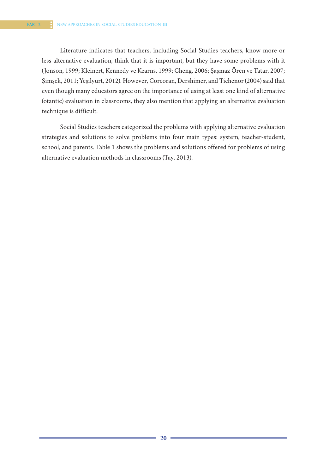Literature indicates that teachers, including Social Studies teachers, know more or less alternative evaluation, think that it is important, but they have some problems with it (Jonson, 1999; Kleinert, Kennedy ve Kearns, 1999; Cheng, 2006; Şaşmaz Ören ve Tatar, 2007; Şimşek, 2011; Yeşilyurt, 2012). However, Corcoran, Dershimer, and Tichenor (2004) said that even though many educators agree on the importance of using at least one kind of alternative (otantic) evaluation in classrooms, they also mention that applying an alternative evaluation technique is difficult.

Social Studies teachers categorized the problems with applying alternative evaluation strategies and solutions to solve problems into four main types: system, teacher-student, school, and parents. Table 1 shows the problems and solutions offered for problems of using alternative evaluation methods in classrooms (Tay, 2013).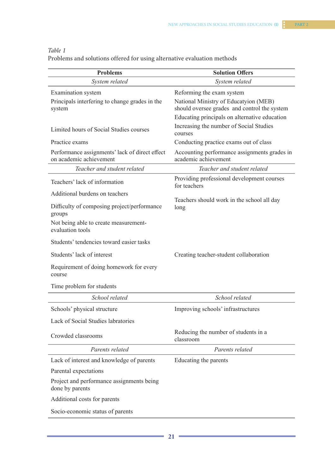## *Table 1*

Problems and solutions offered for using alternative evaluation methods

| <b>Problems</b>                                                                | <b>Solution Offers</b>                                                                                             |  |  |
|--------------------------------------------------------------------------------|--------------------------------------------------------------------------------------------------------------------|--|--|
| System related                                                                 | System related                                                                                                     |  |  |
| Examination system<br>Principals interfering to change grades in the<br>system | Reforming the exam system<br>National Ministry of Educatyion (MEB)<br>should oversee grades and control the system |  |  |
|                                                                                | Educating principals on alternative education                                                                      |  |  |
| Limited hours of Social Studies courses                                        | Increasing the number of Social Studies<br>courses                                                                 |  |  |
| Practice exams                                                                 | Conducting practice exams out of class                                                                             |  |  |
| Performance assignments' lack of direct effect<br>on academic achievement      | Accounting performance assignments grades in<br>academic achievement                                               |  |  |
| Teacher and student related                                                    | Teacher and student related                                                                                        |  |  |
| Teachers' lack of information                                                  | Providing professional development courses<br>for teachers                                                         |  |  |
| Additional burdens on teachers                                                 |                                                                                                                    |  |  |
| Difficulty of composing project/performance<br>groups                          | Teachers should work in the school all day<br>long                                                                 |  |  |
| Not being able to create measurement-<br>evaluation tools                      |                                                                                                                    |  |  |
| Students' tendencies toward easier tasks                                       |                                                                                                                    |  |  |
| Students' lack of interest                                                     | Creating teacher-student collaboration                                                                             |  |  |
| Requirement of doing homework for every<br>course                              |                                                                                                                    |  |  |
| Time problem for students                                                      |                                                                                                                    |  |  |
| School related                                                                 | School related                                                                                                     |  |  |
| Schools' physical structure                                                    | Improving schools' infrastructures                                                                                 |  |  |
| Lack of Social Studies labratories                                             |                                                                                                                    |  |  |
| Crowded classrooms                                                             | Reducing the number of students in a<br>classroom                                                                  |  |  |
| Parents related                                                                | Parents related                                                                                                    |  |  |
| Lack of interest and knowledge of parents                                      | Educating the parents                                                                                              |  |  |
| Parental expectations                                                          |                                                                                                                    |  |  |
| Project and performance assignments being<br>done by parents                   |                                                                                                                    |  |  |
| Additional costs for parents                                                   |                                                                                                                    |  |  |
| Socio-economic status of parents                                               |                                                                                                                    |  |  |
|                                                                                |                                                                                                                    |  |  |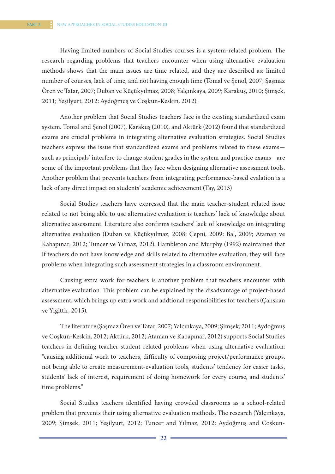Having limited numbers of Social Studies courses is a system-related problem. The research regarding problems that teachers encounter when using alternative evaluation methods shows that the main issues are time related, and they are described as: limited number of courses, lack of time, and not having enough time (Tomal ve Şenol, 2007; Şaşmaz Ören ve Tatar, 2007; Duban ve Küçükyılmaz, 2008; Yalçınkaya, 2009; Karakuş, 2010; Şimşek, 2011; Yeşilyurt, 2012; Aydoğmuş ve Coşkun-Keskin, 2012).

Another problem that Social Studies teachers face is the existing standardized exam system. Tomal and Şenol (2007), Karakuş (2010), and Aktürk (2012) found that standardized exams are crucial problems in integrating alternative evaluation strategies. Social Studies teachers express the issue that standardized exams and problems related to these exams such as principals' interfere to change student grades in the system and practice exams—are some of the important problems that they face when designing alternative assessment tools. Another problem that prevents teachers from integrating performance-based evalation is a lack of any direct impact on students' academic achievement (Tay, 2013)

Social Studies teachers have expressed that the main teacher-student related issue related to not being able to use alternative evaluation is teachers' lack of knowledge about alternative assessment. Literature also confirms teachers' lack of knowledge on integrating alternative evaluation (Duban ve Küçükyılmaz, 2008; Çepni, 2009; Bal, 2009; Ataman ve Kabapınar, 2012; Tuncer ve Yılmaz, 2012). Hambleton and Murphy (1992) maintained that if teachers do not have knowledge and skills related to alternative evaluation, they will face problems when integrating such assessment strategies in a classroom environment.

Causing extra work for teachers is another problem that teachers encounter with alternative evaluation. This problem can be explained by the disadvantage of project-based assessment, which brings up extra work and addtional responsibilities for teachers (Çalışkan ve Yiğittir, 2015).

The literature (Şaşmaz Ören ve Tatar, 2007; Yalçınkaya, 2009; Şimşek, 2011; Aydoğmuş ve Coşkun-Keskin, 2012; Aktürk, 2012; Ataman ve Kabapınar, 2012) supports Social Studies teachers in defining teacher-student related problems when using alternative evaluation: "causing additional work to teachers, difficulty of composing project/performance groups, not being able to create measurement-evaluation tools, students' tendency for easier tasks, students' lack of interest, requirement of doing homework for every course, and students' time problems."

Social Studies teachers identified having crowded classrooms as a school-related problem that prevents their using alternative evaluation methods. The research (Yalçınkaya, 2009; Şimşek, 2011; Yeşilyurt, 2012; Tuncer and Yılmaz, 2012; Aydoğmuş and Coşkun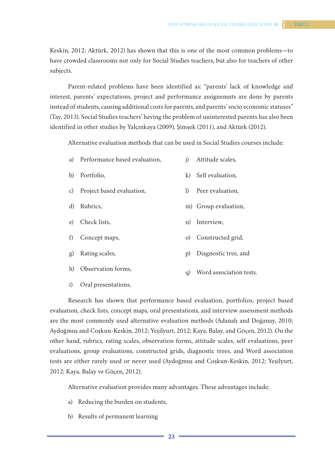Keskin, 2012; Aktürk, 2012) has shown that this is one of the most common problems—to have crowded classrooms not only for Social Studies teachers, but also for teachers of other subjects.

Parent-related problems have been identified as: "parents' lack of knowledge and interest, parents' expectations, project and performance assignemnts are done by parents instead of students, causing additional costs for parents, and parents' socio economic statuses" (Tay, 2013). Social Studies teachers' having the problem of uninterested parents has also been identified in other studies by Yalçınkaya (2009), Şimşek (2011), and Aktürk (2012).

Alternative evaluation methods that can be used in Social Studies courses include:

| a) Performance based evaluation, | j) Attitude scales, |
|----------------------------------|---------------------|
|                                  |                     |

- b) Portfolio, k) Self evaluation,
- c) Project based evaluation, l) Peer evaluation,
- d) Rubrics, m) Group evaluation,
- e) Check lists, n) Interview,
- f) Concept maps, o) Constructed grid,
- g) Rating scales, p) Diagnostic tree, and
- h) Observation forms, q) Word association tests.
- i) Oral presentations,

Research has shown that performance based evaluation, portfolios, project based evaluation, check lists, concept maps, oral presentations, and interview assessment methods are the most commonly used alternative evaluation methods (Adanalı and Doğanay, 2010; Aydoğmuş and Coşkun-Keskin, 2012; Yeşilyurt, 2012; Kaya, Balay, and Göçen, 2012). On the other hand, rubrics, rating scales, observation forms, attitude scales, self evaluations, peer evaluations, group evaluations, constructed grids, diagnostic trees, and Word association tests are either rarely used or never used (Aydoğmuş and Coşkun-Keskin, 2012; Yeşilyurt, 2012; Kaya, Balay ve Göçen, 2012).

Alternative evaluation provides many advantages. These advantages include:

- a) Reducing the burden on students,
- b) Results of permanent learning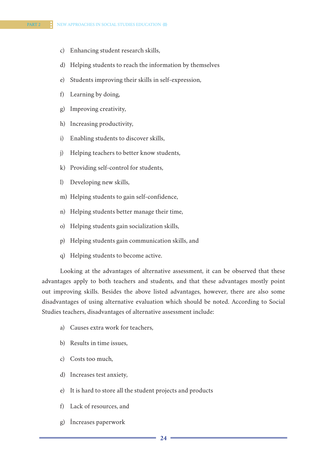- c) Enhancing student research skills,
- d) Helping students to reach the information by themselves
- e) Students improving their skills in self-expression,
- f) Learning by doing,
- g) Improving creativity,
- h) Increasing productivity,
- i) Enabling students to discover skills,
- j) Helping teachers to better know students,
- k) Providing self-control for students,
- l) Developing new skills,
- m) Helping students to gain self-confidence,
- n) Helping students better manage their time,
- o) Helping students gain socialization skills,
- p) Helping students gain communication skills, and
- q) Helping students to become active.

Looking at the advantages of alternative assessment, it can be observed that these advantages apply to both teachers and students, and that these advantages mostly point out improving skills. Besides the above listed advantages, however, there are also some disadvantages of using alternative evaluation which should be noted. According to Social Studies teachers, disadvantages of alternative assessment include:

- a) Causes extra work for teachers,
- b) Results in time issues,
- c) Costs too much,
- d) Increases test anxiety,
- e) It is hard to store all the student projects and products
- f) Lack of resources, and
- g) İncreases paperwork

**24 25**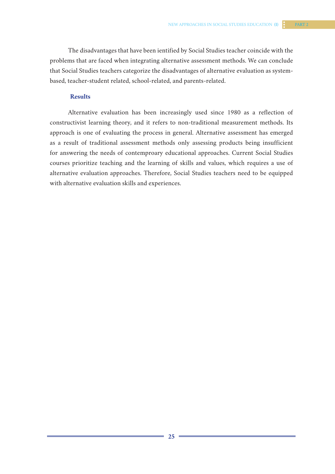The disadvantages that have been ientified by Social Studies teacher coincide with the problems that are faced when integrating alternative assessment methods. We can conclude that Social Studies teachers categorize the disadvantages of alternative evaluation as systembased, teacher-student related, school-related, and parents-related.

#### **Results**

Alternative evaluation has been increasingly used since 1980 as a reflection of constructivist learning theory, and it refers to non-traditional measurement methods. Its approach is one of evaluating the process in general. Alternative assessment has emerged as a result of traditional assessment methods only assessing products being insufficient for answering the needs of contemproary educational approaches. Current Social Studies courses prioritize teaching and the learning of skills and values, which requires a use of alternative evaluation approaches. Therefore, Social Studies teachers need to be equipped with alternative evaluation skills and experiences.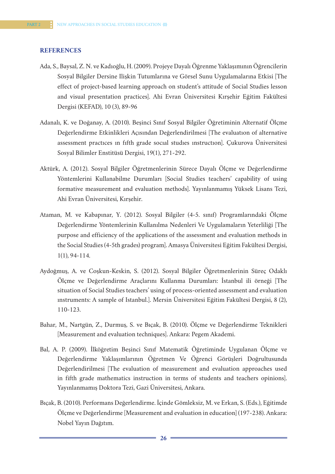#### **REFERENCES**

- Ada, S., Baysal, Z. N. ve Kadıoğlu, H. (2009). Projeye Dayalı Öğrenme Yaklaşımının Öğrencilerin Sosyal Bilgiler Dersine Ilişkin Tutumlarına ve Görsel Sunu Uygulamalarına Etkisi [The effect of project-based learning approach on student's attitude of Social Studies lesson and visual presentation practices]. Ahi Evran Üniversitesi Kırşehir Eğitim Fakültesi Dergisi (KEFAD), 10 (3), 89-96
- Adanalı, K. ve Doğanay, A. (2010). Beşinci Sınıf Sosyal Bilgiler Öğretiminin Alternatif Ölçme Değerlendirme Etkinlikleri Açısından Değerlendirilmesi [The evaluatıon of alternative assessment practıces ın fıfth grade socıal studıes ınstructıon]. Çukurova Üniversitesi Sosyal Bilimler Enstitüsü Dergisi, 19(1), 271-292.
- Aktürk, A. (2012). Sosyal Bilgiler Öğretmenlerinin Sürece Dayalı Ölçme ve Değerlendirme Yöntemlerini Kullanabilme Durumları [Social Studies teachers' capability of using formative measurement and evaluation methods]. Yayınlanmamış Yüksek Lisans Tezi, Ahi Evran Üniversitesi, Kırşehir.
- Ataman, M. ve Kabapınar, Y. (2012). Sosyal Bilgiler (4-5. sınıf) Programlarındaki Ölçme Değerlendirme Yöntemlerinin Kullanılma Nedenleri Ve Uygulamaların Yeterliliği [The purpose and efficiency of the applications of the assessment and evaluation methods in the Social Studies (4-5th grades) program]. Amasya Üniversitesi Eğitim Fakültesi Dergisi, 1(1), 94-114.
- Aydoğmuş, A. ve Coşkun-Keskin, S. (2012). Sosyal Bilgiler Öğretmenlerinin Süreç Odaklı Ölçme ve Değerlendirme Araçlarını Kullanma Durumları: İstanbul ili örneği [The situation of Social Studies teachers' using of process-oriented assessment and evaluation ınstruments: A sample of Istanbul.]. Mersin Üniversitesi Eğitim Fakültesi Dergisi, 8 (2), 110-123.
- Bahar, M., Nartgün, Z., Durmuş, S. ve Bıçak, B. (2010). Ölçme ve Değerlendirme Teknikleri [Measurement and evaluation techniques]. Ankara: Pegem Akademi.
- Bal, A. P. (2009). İlköğretim Beşinci Sınıf Matematik Öğretiminde Uygulanan Ölçme ve Değerlendirme Yaklaşımlarının Öğretmen Ve Öğrenci Görüşleri Doğrultusunda Değerlendirilmesi [The evaluation of measurement and evaluation approaches used in fifth grade mathematics instruction in terms of students and teachers opinions]. Yayınlanmamış Doktora Tezi, Gazi Üniversitesi, Ankara.
- Bıçak, B. (2010). Performans Değerlendirme. İçinde Gömleksiz, M. ve Erkan, S. (Eds.), Eğitimde Ölçme ve Değerlendirme [Measurement and evaluation in education] (197-238). Ankara: Nobel Yayın Dağıtım.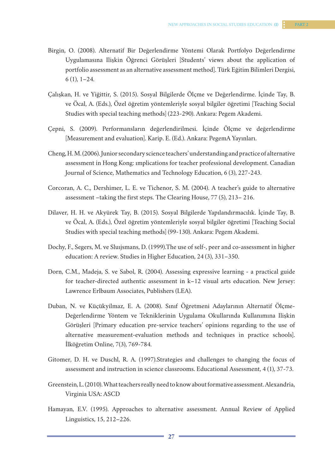- Birgin, O. (2008). Alternatif Bir Değerlendirme Yöntemi Olarak Portfolyo Değerlendirme Uygulamasına Ilişkin Öğrenci Görüşleri [Students' views about the application of portfolio assessment as an alternative assessment method]. Türk Eğitim Bilimleri Dergisi, 6 (1), 1–24.
- Çalışkan, H. ve Yiğittir, S. (2015). Sosyal Bilgilerde Ölçme ve Değerlendirme. İçinde Tay, B. ve Öcal, A. (Eds.), Özel öğretim yöntemleriyle sosyal bilgiler öğretimi [Teaching Social Studies with special teaching methods] (223-290). Ankara: Pegem Akademi.
- Çepni, S. (2009). Performansların değerlendirilmesi. İçinde Ölçme ve değerlendirme [Measurement and evaluation]. Karip. E. (Ed.). Ankara: PegemA Yayınları.
- Cheng, H. M. (2006). Junior secondary science teachers' understanding and practice of alternative assessment in Hong Kong: ımplications for teacher professional development. Canadian Journal of Science, Mathematics and Technology Education, 6 (3), 227-243.
- Corcoran, A. C., Dershimer, L. E. ve Tichenor, S. M. (2004). A teacher's guide to alternative assessment –taking the first steps. The Clearing House, 77 (5), 213– 216.
- Dilaver, H. H. ve Akyürek Tay, B. (2015). Sosyal Bilgilerde Yapılandırmacılık. İçinde Tay, B. ve Öcal, A. (Eds.), Özel öğretim yöntemleriyle sosyal bilgiler öğretimi [Teaching Social Studies with special teaching methods] (99-130). Ankara: Pegem Akademi.
- Dochy, F., Segers, M. ve Sluıjsmans, D. (1999).The use of self-, peer and co-assessment in higher education: A review. Studies in Higher Education, 24 (3), 331–350.
- Dorn, C.M., Madeja, S. ve Sabol, R. (2004). Assessing expressive learning a practical guide for teacher-directed authentic assessment in k–12 visual arts education. New Jersey: Lawrence Erlbaum Associates, Publishers (LEA).
- Duban, N. ve Küçükyilmaz, E. A. (2008). Sınıf Öğretmeni Adaylarının Alternatif Ölçme-Değerlendirme Yöntem ve Tekniklerinin Uygulama Okullarında Kullanımına Ilişkin Görüşleri [Primary education pre-service teachers' opinions regarding to the use of alternative measurement-evaluation methods and techniques in practice schools]. İlköğretim Online, 7(3), 769-784.
- Gitomer, D. H. ve Duschl, R. A. (1997).Strategies and challenges to changing the focus of assessment and instruction in science classrooms. Educational Assessment, 4 (1), 37-73.
- Greenstein, L. (2010). What teachers really need to know about formative assessment. Alexandria, Virginia USA: ASCD
- Hamayan, E.V. (1995). Approaches to alternative assessment. Annual Review of Applied Linguistics, 15, 212–226.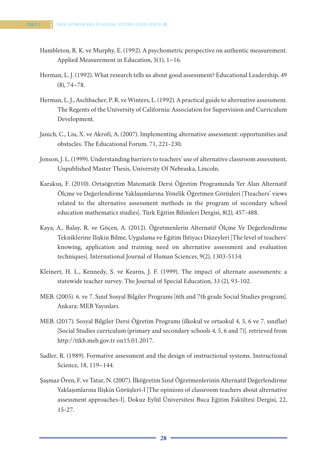- Hambleton, R. K. ve Murphy, E. (1992). A psychometric perspective on authentic measurement. Applied Measurement in Education, 5(1), 1–16.
- Herman, L. J. (1992). What research tells us about good assessment? Educational Leadership, 49 (8), 74–78.
- Herman, L. J., Aschbacher, P. R. ve Winters, L. (1992). A practical guide to alternative assessment. The Regents of the University of California: Association for Supervision and Curriculum Development.
- Janich, C., Liu, X. ve Akrofi, A. (2007). Implementing alternative assessment: opportunities and obstacles. The Educational Forum. 71, 221-230.
- Jonson, J. L. (1999). Understanding barriers to teachers' use of alternative classroom assessment, Unpublished Master Thesis, University Of Nebraska, Lincoln.
- Karakuş, F. (2010). Ortaöğretim Matematik Dersi Öğretim Programında Yer Alan Alternatif Ölçme ve Değerlendirme Yaklaşımlarına Yönelik Öğretmen Görüşleri [Tteachers' views related to the alternative assessment methods in the program of secondary school education mathematics studies]. Türk Eğitim Bilimleri Dergisi, 8(2), 457-488.
- Kaya, A., Balay, R. ve Göçen, A. (2012). Öğretmenlerin Alternatif Ölçme Ve Değerlendirme Tekniklerine Ilişkin Bilme, Uygulama ve Eğitim Ihtiyacı Düzeyleri [The level of teachers' knowing, application and training need on alternative assessment and evaluation techniques]. International Journal of Human Sciences, 9(2), 1303-5134.
- Kleinert, H. L., Kennedy, S. ve Kearns, J. F. (1999). The impact of alternate assessments: a statewide teacher survey. The Journal of Special Education, 33 (2), 93-102.
- MEB. (2005). 6. ve 7. Sınıf Sosyal Bilgiler Programı [6th and 7th grade Social Studies program]. Ankara: MEB Yayınları.
- MEB. (2017). Sosyal Bilgiler Dersi Öğretim Programı (ilkokul ve ortaokul 4, 5, 6 ve 7. sınıflar) [Social Studies curriculum (primary and secondary schools 4, 5, 6 and 7)]. retrieved from http://ttkb.meb.gov.tr on15.01.2017.
- Sadler, R. (1989). Formative assessment and the design of instructional systems. Instructional Science, 18, 119–144.
- Şaşmaz Ören, F. ve Tatar, N. (2007). İlköğretim Sınıf Öğretmenlerinin Alternatif Değerlendirme Yaklaşımlarına Ilişkin Görüşleri-I [The opinions of classroom teachers about alternative assessment approaches-I]. Dokuz Eylül Üniversitesi Buca Eğitim Fakültesi Dergisi, 22, 15-27.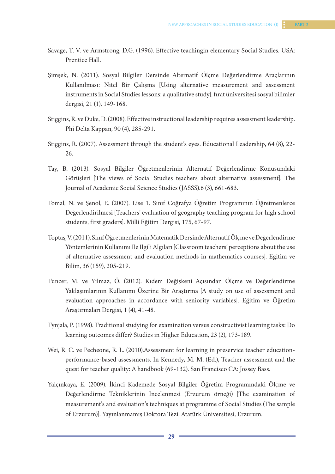- Savage, T. V. ve Armstrong, D.G. (1996). Effective teachingin elementary Social Studies. USA: Prentice Hall.
- Şimşek, N. (2011). Sosyal Bilgiler Dersinde Alternatif Ölçme Değerlendirme Araçlarının Kullanılması: Nitel Bir Çalışma [Using alternative measurement and assessment instruments in Social Studies lessons: a qualitative study]. fırat üniversitesi sosyal bilimler dergisi, 21 (1), 149-168.
- Stiggins, R. ve Duke, D. (2008). Effective instructional leadership requires assessment leadership. Phi Delta Kappan, 90 (4), 285-291.
- Stiggins, R. (2007). Assessment through the student's eyes. Educational Leadership, 64 (8), 22- 26.
- Tay, B. (2013). Sosyal Bilgiler Öğretmenlerinin Alternatif Değerlendirme Konusundaki Görüşleri [The views of Social Studies teachers about alternative assessment]. The Journal of Academic Social Science Studies (JASSS).6 (3), 661-683.
- Tomal, N. ve Şenol, E. (2007). Lise 1. Sınıf Coğrafya Öğretim Programının Öğretmenlerce Değerlendirilmesi [Teachers' evaluation of geography teaching program for high school students, first graders]. Milli Eğitim Dergisi, 175, 67-97.
- Toptaş, V. (2011). Sınıf Öğretmenlerinin Matematik Dersinde Alternatif Ölçme ve Değerlendirme Yöntemlerinin Kullanımı Ile Ilgili Algıları [Classroom teachers' perceptions about the use of alternative assessment and evaluation methods in mathematics courses]. Eğitim ve Bilim, 36 (159), 205-219.
- Tuncer, M. ve Yılmaz, Ö. (2012). Kıdem Değişkeni Açısından Ölçme ve Değerlendirme Yaklaşımlarının Kullanımı Üzerine Bir Araştırma [A study on use of assessment and evaluation approaches in accordance with seniority variables]. Eğitim ve Öğretim Araştırmaları Dergisi, 1 (4), 41-48.
- Tynjala, P. (1998). Traditional studying for examination versus constructivist learning tasks: Do learning outcomes differ? Studies in Higher Education, 23 (2), 173-189.
- Wei, R. C. ve Pecheone, R. L. (2010).Assessment for learning in preservice teacher educationperformance-based assessments. In Kennedy, M. M. (Ed.), Teacher assessment and the quest for teacher quality: A handbook (69-132). San Francisco CA: Jossey Bass.
- Yalçınkaya, E. (2009). İkinci Kademede Sosyal Bilgiler Öğretim Programındaki Ölçme ve Değerlendirme Tekniklerinin Incelenmesi (Erzurum örneği) [The examination of measurement's and evaluation's techniques at programme of Social Studies (The sample of Erzurum)]. Yayınlanmamış Doktora Tezi, Atatürk Üniversitesi, Erzurum.